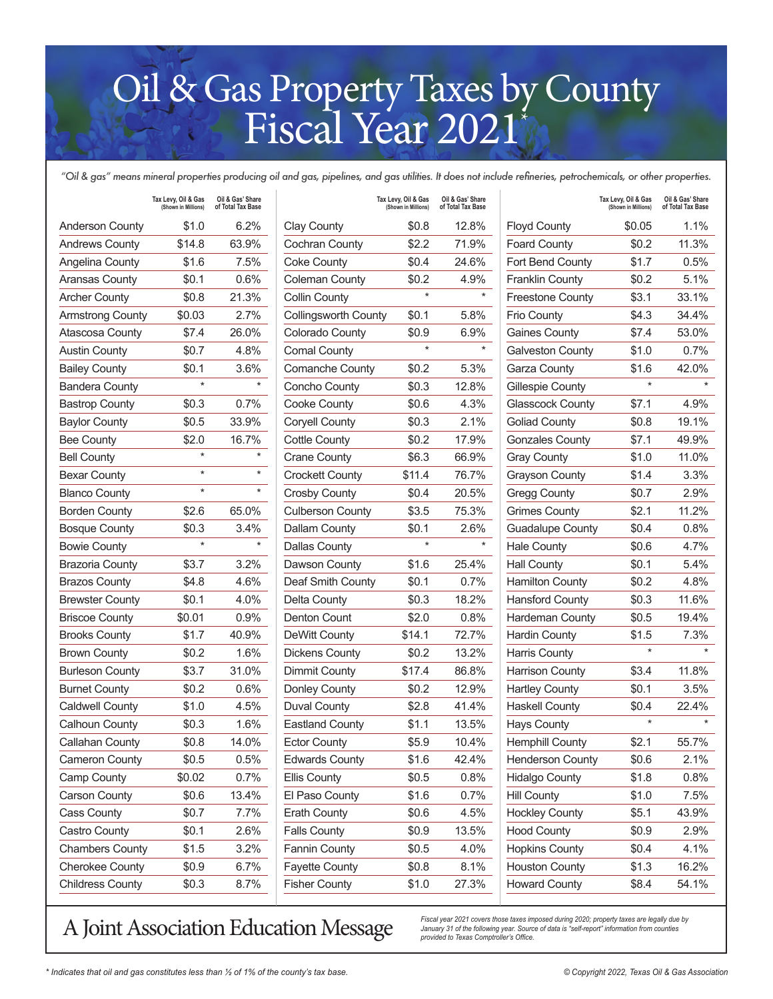## Oil & Gas Property Taxes by County Fiscal Year 2021\*

*"Oil & gas" means mineral properties producing oil and gas, pipelines, and gas utilities. It does not include refineries, petrochemicals, or other properties.*

|                         | Tax Levy, Oil & Gas<br>(Shown in Millions) | Oil & Gas' Share<br>of Total Tax Base |                             | Tax Levy, Oil & Gas<br>(Shown in Millions) | Oil & Gas' Share<br>of Total Tax Base |                         | Tax Levy, Oil & Gas<br>(Shown in Millions) | Oil & Gas' Share<br>of Total Tax Base |
|-------------------------|--------------------------------------------|---------------------------------------|-----------------------------|--------------------------------------------|---------------------------------------|-------------------------|--------------------------------------------|---------------------------------------|
| <b>Anderson County</b>  | \$1.0                                      | 6.2%                                  | <b>Clay County</b>          | \$0.8                                      | 12.8%                                 | <b>Floyd County</b>     | \$0.05                                     | 1.1%                                  |
| <b>Andrews County</b>   | \$14.8                                     | 63.9%                                 | Cochran County              | \$2.2                                      | 71.9%                                 | <b>Foard County</b>     | \$0.2                                      | 11.3%                                 |
| Angelina County         | \$1.6                                      | 7.5%                                  | <b>Coke County</b>          | \$0.4                                      | 24.6%                                 | Fort Bend County        | \$1.7                                      | 0.5%                                  |
| Aransas County          | \$0.1                                      | 0.6%                                  | <b>Coleman County</b>       | \$0.2                                      | 4.9%                                  | <b>Franklin County</b>  | \$0.2                                      | 5.1%                                  |
| <b>Archer County</b>    | \$0.8                                      | 21.3%                                 | <b>Collin County</b>        | $\star$                                    | $\star$                               | <b>Freestone County</b> | \$3.1                                      | 33.1%                                 |
| <b>Armstrong County</b> | \$0.03                                     | 2.7%                                  | <b>Collingsworth County</b> | \$0.1                                      | 5.8%                                  | <b>Frio County</b>      | \$4.3                                      | 34.4%                                 |
| <b>Atascosa County</b>  | \$7.4                                      | 26.0%                                 | Colorado County             | \$0.9                                      | 6.9%                                  | <b>Gaines County</b>    | \$7.4                                      | 53.0%                                 |
| <b>Austin County</b>    | \$0.7                                      | 4.8%                                  | <b>Comal County</b>         | $\star$                                    | $^\star$                              | <b>Galveston County</b> | \$1.0                                      | 0.7%                                  |
| <b>Bailey County</b>    | \$0.1                                      | 3.6%                                  | Comanche County             | \$0.2                                      | 5.3%                                  | Garza County            | \$1.6                                      | 42.0%                                 |
| <b>Bandera County</b>   | $\star$                                    | $\star$                               | Concho County               | \$0.3                                      | 12.8%                                 | Gillespie County        | $\star$                                    |                                       |
| <b>Bastrop County</b>   | \$0.3                                      | 0.7%                                  | Cooke County                | \$0.6                                      | 4.3%                                  | <b>Glasscock County</b> | \$7.1                                      | 4.9%                                  |
| <b>Baylor County</b>    | \$0.5                                      | 33.9%                                 | <b>Coryell County</b>       | \$0.3                                      | 2.1%                                  | <b>Goliad County</b>    | \$0.8                                      | 19.1%                                 |
| <b>Bee County</b>       | \$2.0                                      | 16.7%                                 | <b>Cottle County</b>        | \$0.2                                      | 17.9%                                 | <b>Gonzales County</b>  | \$7.1                                      | 49.9%                                 |
| <b>Bell County</b>      | $\star$                                    | $\star$                               | <b>Crane County</b>         | \$6.3                                      | 66.9%                                 | <b>Gray County</b>      | \$1.0                                      | 11.0%                                 |
| <b>Bexar County</b>     | $\star$                                    | $\star$                               | <b>Crockett County</b>      | \$11.4                                     | 76.7%                                 | <b>Grayson County</b>   | \$1.4                                      | 3.3%                                  |
| <b>Blanco County</b>    | $\star$                                    | $\star$                               | <b>Crosby County</b>        | \$0.4                                      | 20.5%                                 | Gregg County            | \$0.7                                      | 2.9%                                  |
| <b>Borden County</b>    | \$2.6                                      | 65.0%                                 | <b>Culberson County</b>     | \$3.5                                      | 75.3%                                 | <b>Grimes County</b>    | \$2.1                                      | 11.2%                                 |
| <b>Bosque County</b>    | \$0.3                                      | 3.4%                                  | Dallam County               | \$0.1                                      | 2.6%                                  | <b>Guadalupe County</b> | \$0.4                                      | 0.8%                                  |
| <b>Bowie County</b>     | $\star$                                    | $\star$                               | <b>Dallas County</b>        | $\star$                                    | $\star$                               | <b>Hale County</b>      | \$0.6                                      | 4.7%                                  |
| <b>Brazoria County</b>  | \$3.7                                      | 3.2%                                  | Dawson County               | \$1.6                                      | 25.4%                                 | <b>Hall County</b>      | \$0.1                                      | 5.4%                                  |
| <b>Brazos County</b>    | \$4.8                                      | 4.6%                                  | Deaf Smith County           | \$0.1                                      | 0.7%                                  | <b>Hamilton County</b>  | \$0.2                                      | 4.8%                                  |
| <b>Brewster County</b>  | \$0.1                                      | 4.0%                                  | <b>Delta County</b>         | \$0.3                                      | 18.2%                                 | <b>Hansford County</b>  | \$0.3                                      | 11.6%                                 |
| <b>Briscoe County</b>   | \$0.01                                     | 0.9%                                  | Denton Count                | \$2.0                                      | 0.8%                                  | Hardeman County         | \$0.5                                      | 19.4%                                 |
| <b>Brooks County</b>    | \$1.7                                      | 40.9%                                 | DeWitt County               | \$14.1                                     | 72.7%                                 | <b>Hardin County</b>    | \$1.5                                      | 7.3%                                  |
| <b>Brown County</b>     | \$0.2                                      | 1.6%                                  | <b>Dickens County</b>       | \$0.2                                      | 13.2%                                 | Harris County           | $\star$                                    | $\star$                               |
| <b>Burleson County</b>  | \$3.7                                      | 31.0%                                 | Dimmit County               | \$17.4                                     | 86.8%                                 | <b>Harrison County</b>  | \$3.4                                      | 11.8%                                 |
| <b>Burnet County</b>    | \$0.2                                      | 0.6%                                  | Donley County               | \$0.2                                      | 12.9%                                 | <b>Hartley County</b>   | \$0.1                                      | 3.5%                                  |
| <b>Caldwell County</b>  | \$1.0                                      | 4.5%                                  | <b>Duval County</b>         | \$2.8                                      | 41.4%                                 | <b>Haskell County</b>   | \$0.4                                      | 22.4%                                 |
| Calhoun County          | \$0.3                                      | 1.6%                                  | <b>Eastland County</b>      | \$1.1                                      | 13.5%                                 | <b>Hays County</b>      | $\star$                                    | $\star$                               |
| Callahan County         | \$0.8                                      | 14.0%                                 | <b>Ector County</b>         | \$5.9                                      | 10.4%                                 | <b>Hemphill County</b>  | \$2.1                                      | 55.7%                                 |
| Cameron County          | \$0.5                                      | 0.5%                                  | <b>Edwards County</b>       | \$1.6                                      | 42.4%                                 | Henderson County        | \$0.6                                      | 2.1%                                  |
| Camp County             | \$0.02                                     | 0.7%                                  | <b>Ellis County</b>         | \$0.5                                      | 0.8%                                  | <b>Hidalgo County</b>   | \$1.8                                      | 0.8%                                  |
| <b>Carson County</b>    | \$0.6                                      | 13.4%                                 | El Paso County              | \$1.6                                      | 0.7%                                  | <b>Hill County</b>      | \$1.0                                      | 7.5%                                  |
| Cass County             | \$0.7                                      | 7.7%                                  | <b>Erath County</b>         | \$0.6                                      | 4.5%                                  | <b>Hockley County</b>   | \$5.1                                      | 43.9%                                 |
| Castro County           | \$0.1                                      | 2.6%                                  | <b>Falls County</b>         | \$0.9                                      | 13.5%                                 | <b>Hood County</b>      | \$0.9                                      | 2.9%                                  |
| <b>Chambers County</b>  | \$1.5                                      | 3.2%                                  | <b>Fannin County</b>        | \$0.5                                      | 4.0%                                  | <b>Hopkins County</b>   | \$0.4                                      | 4.1%                                  |
| <b>Cherokee County</b>  | \$0.9                                      | 6.7%                                  | Fayette County              | \$0.8                                      | 8.1%                                  | <b>Houston County</b>   | \$1.3                                      | 16.2%                                 |
| <b>Childress County</b> | \$0.3                                      | 8.7%                                  | <b>Fisher County</b>        | \$1.0                                      | 27.3%                                 | <b>Howard County</b>    | \$8.4                                      | 54.1%                                 |

## A Joint Association Education Message *Fiscal year 2021 covers those taxes imposed during 2020; property taxes are legally due by*<br>provided to Texas Comptroller's Office.

*January 31 of the following year. Source of data is "self-report" information from counties provided to Texas Comptroller's Office.*